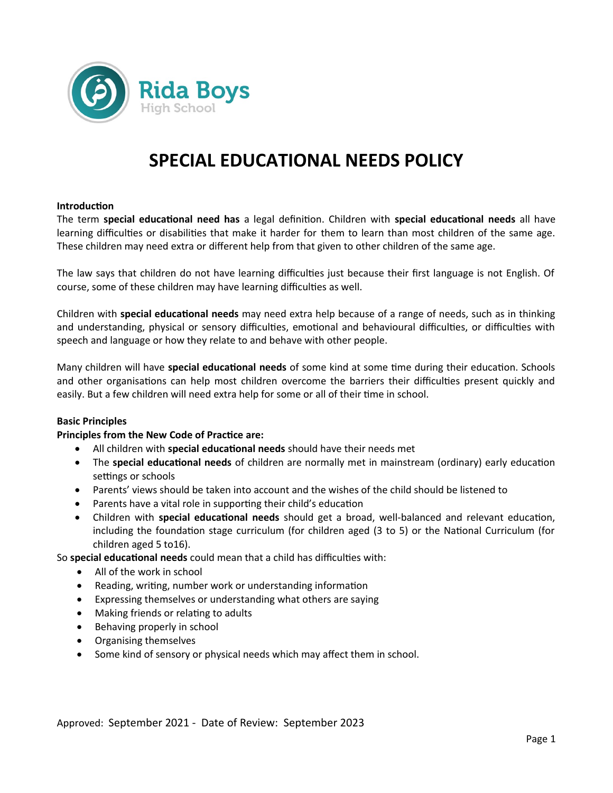

# **SPECIAL EDUCATIONAL NEEDS POLICY**

### **Introduction**

The term **special educational need has** a legal definition. Children with **special educational needs** all have learning difficulties or disabilities that make it harder for them to learn than most children of the same age. These children may need extra or different help from that given to other children of the same age.

The law says that children do not have learning difficulties just because their first language is not English. Of course, some of these children may have learning difficulties as well.

Children with **special educational needs** may need extra help because of a range of needs, such as in thinking and understanding, physical or sensory difficulties, emotional and behavioural difficulties, or difficulties with speech and language or how they relate to and behave with other people.

Many children will have **special educational needs** of some kind at some time during their education. Schools and other organisations can help most children overcome the barriers their difficulties present quickly and easily. But a few children will need extra help for some or all of their time in school.

#### **Basic Principles**

# **Principles from the New Code of Practice are:**

- All children with **special educational needs** should have their needs met
- The **special educational needs** of children are normally met in mainstream (ordinary) early education settings or schools
- Parents' views should be taken into account and the wishes of the child should be listened to
- Parents have a vital role in supporting their child's education
- Children with **special educational needs** should get a broad, well-balanced and relevant education, including the foundation stage curriculum (for children aged (3 to 5) or the National Curriculum (for children aged 5 to16).

So **special educational needs** could mean that a child has difficulties with:

- All of the work in school
- Reading, writing, number work or understanding information
- Expressing themselves or understanding what others are saying
- Making friends or relating to adults
- Behaving properly in school
- Organising themselves
- Some kind of sensory or physical needs which may affect them in school.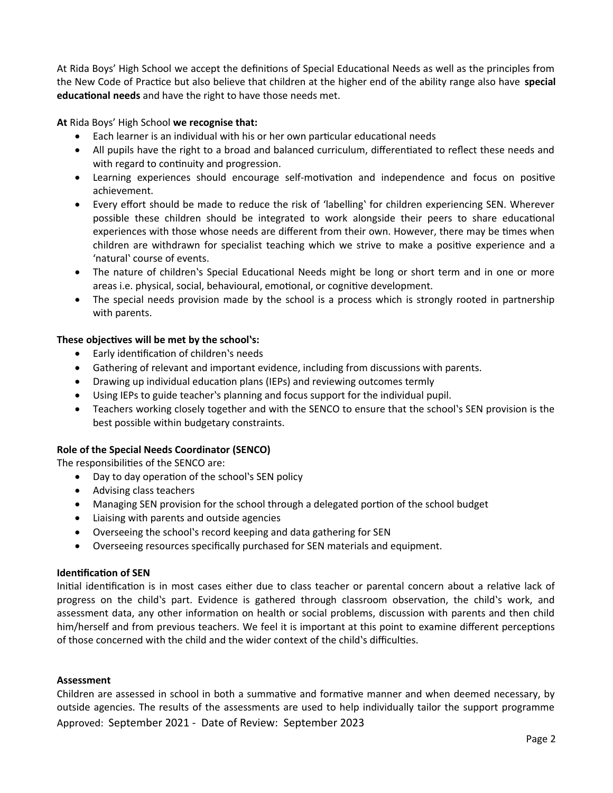At Rida Boys' High School we accept the definitions of Special Educational Needs as well as the principles from the New Code of Practice but also believe that children at the higher end of the ability range also have **special educational needs** and have the right to have those needs met.

**At** Rida Boys' High School **we recognise that:**

- Each learner is an individual with his or her own particular educational needs
- All pupils have the right to a broad and balanced curriculum, differentiated to reflect these needs and with regard to continuity and progression.
- Learning experiences should encourage self-motivation and independence and focus on positive achievement.
- Every effort should be made to reduce the risk of 'labelling' for children experiencing SEN. Wherever possible these children should be integrated to work alongside their peers to share educational experiences with those whose needs are different from their own. However, there may be times when children are withdrawn for specialist teaching which we strive to make a positive experience and a 'natural' course of events.
- The nature of children's Special Educational Needs might be long or short term and in one or more areas i.e. physical, social, behavioural, emotional, or cognitive development.
- The special needs provision made by the school is a process which is strongly rooted in partnership with parents.

# **These objectives will be met by the school's:**

- Early identification of children's needs
- Gathering of relevant and important evidence, including from discussions with parents.
- Drawing up individual education plans (IEPs) and reviewing outcomes termly
- Using IEPs to guide teacher's planning and focus support for the individual pupil.
- Teachers working closely together and with the SENCO to ensure that the school's SEN provision is the best possible within budgetary constraints.

# **Role of the Special Needs Coordinator (SENCO)**

The responsibilities of the SENCO are:

- Day to day operation of the school's SEN policy
- Advising class teachers
- Managing SEN provision for the school through a delegated portion of the school budget
- Liaising with parents and outside agencies
- Overseeing the school's record keeping and data gathering for SEN
- Overseeing resources specifically purchased for SEN materials and equipment.

# **Identification of SEN**

Initial identification is in most cases either due to class teacher or parental concern about a relative lack of progress on the child's part. Evidence is gathered through classroom observation, the child's work, and assessment data, any other information on health or social problems, discussion with parents and then child him/herself and from previous teachers. We feel it is important at this point to examine different perceptions of those concerned with the child and the wider context of the child's difficulties.

#### **Assessment**

Children are assessed in school in both a summative and formative manner and when deemed necessary, by outside agencies. The results of the assessments are used to help individually tailor the support programme Approved: September 2021 - Date of Review: September 2023